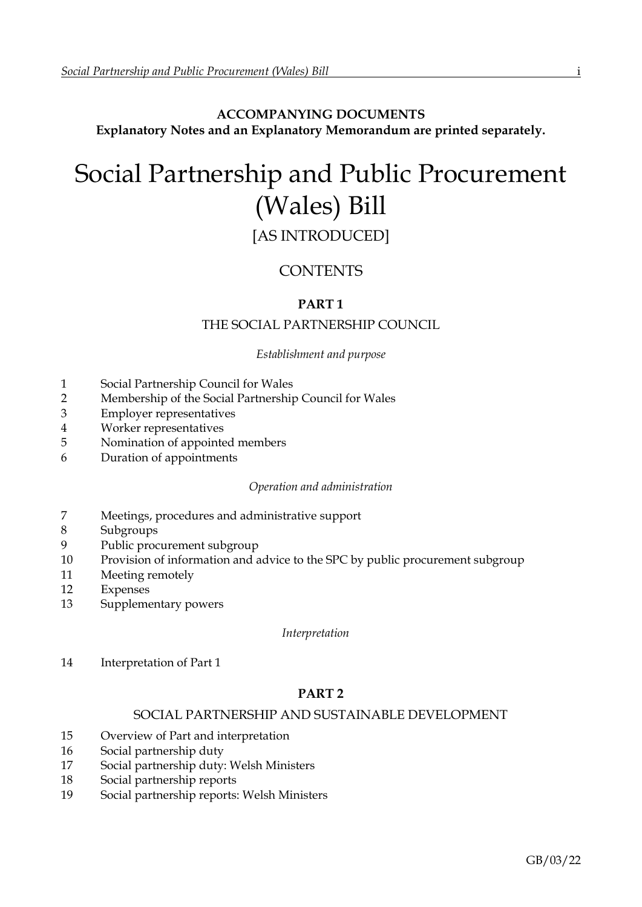## **ACCOMPANYING DOCUMENTS Explanatory Notes and an Explanatory Memorandum are printed separately.**

# Social Partnership and Public Procurement (Wales) Bill

## [AS INTRODUCED]

## **CONTENTS**

## **PART 1**

## THE SOCIAL PARTNERSHIP COUNCIL

#### *Establishment and purpose*

- 1 Social Partnership Council for Wales
- 2 Membership of the Social Partnership Council for Wales
- 3 Employer representatives
- 4 Worker representatives
- 5 Nomination of appointed members
- 6 Duration of appointments

#### *Operation and administration*

- 7 Meetings, procedures and administrative support
- 8 Subgroups
- 9 Public procurement subgroup
- 10 Provision of information and advice to the SPC by public procurement subgroup
- 11 Meeting remotely
- 12 Expenses
- 13 Supplementary powers

*Interpretation*

14 Interpretation of Part 1

## **PART 2**

## SOCIAL PARTNERSHIP AND SUSTAINABLE DEVELOPMENT

- 15 Overview of Part and interpretation
- 16 Social partnership duty
- 17 Social partnership duty: Welsh Ministers
- 18 Social partnership reports
- 19 Social partnership reports: Welsh Ministers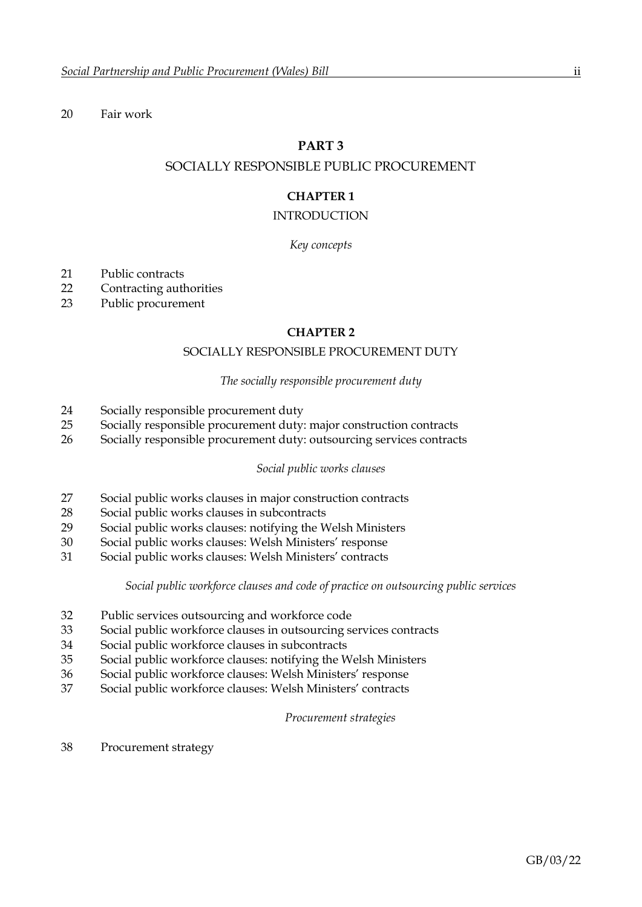#### 20 Fair work

#### **PART 3**

#### SOCIALLY RESPONSIBLE PUBLIC PROCUREMENT

## **CHAPTER 1**

#### INTRODUCTION

#### *Key concepts*

- 21 Public contracts
- 22 Contracting authorities
- 23 Public procurement

#### **CHAPTER 2**

#### SOCIALLY RESPONSIBLE PROCUREMENT DUTY

#### *The socially responsible procurement duty*

- 24 Socially responsible procurement duty
- 25 Socially responsible procurement duty: major construction contracts
- 26 Socially responsible procurement duty: outsourcing services contracts

#### *Social public works clauses*

- 27 Social public works clauses in major construction contracts
- 28 Social public works clauses in subcontracts
- 29 Social public works clauses: notifying the Welsh Ministers
- 30 Social public works clauses: Welsh Ministers' response
- 31 Social public works clauses: Welsh Ministers' contracts

#### *Social public workforce clauses and code of practice on outsourcing public services*

- 32 Public services outsourcing and workforce code
- 33 Social public workforce clauses in outsourcing services contracts
- 34 Social public workforce clauses in subcontracts
- 35 Social public workforce clauses: notifying the Welsh Ministers
- 36 Social public workforce clauses: Welsh Ministers' response
- 37 Social public workforce clauses: Welsh Ministers' contracts

#### *Procurement strategies*

38 Procurement strategy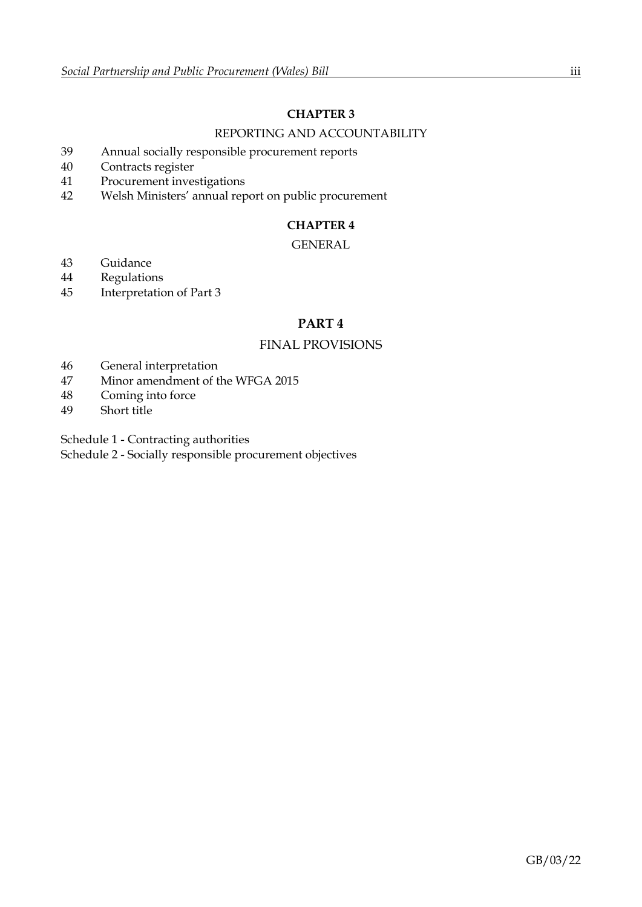## **CHAPTER 3**

### REPORTING AND ACCOUNTABILITY

- 39 Annual socially responsible procurement reports
- 40 Contracts register
- 41 Procurement investigations
- 42 Welsh Ministers' annual report on public procurement

## **CHAPTER 4**

## GENERAL

- 43 Guidance
- 44 Regulations
- 45 Interpretation of Part 3

## **PART 4**

## FINAL PROVISIONS

- 46 General interpretation
- 47 Minor amendment of the WFGA 2015
- 48 Coming into force
- 49 Short title

Schedule 1 - Contracting authorities

Schedule 2 - Socially responsible procurement objectives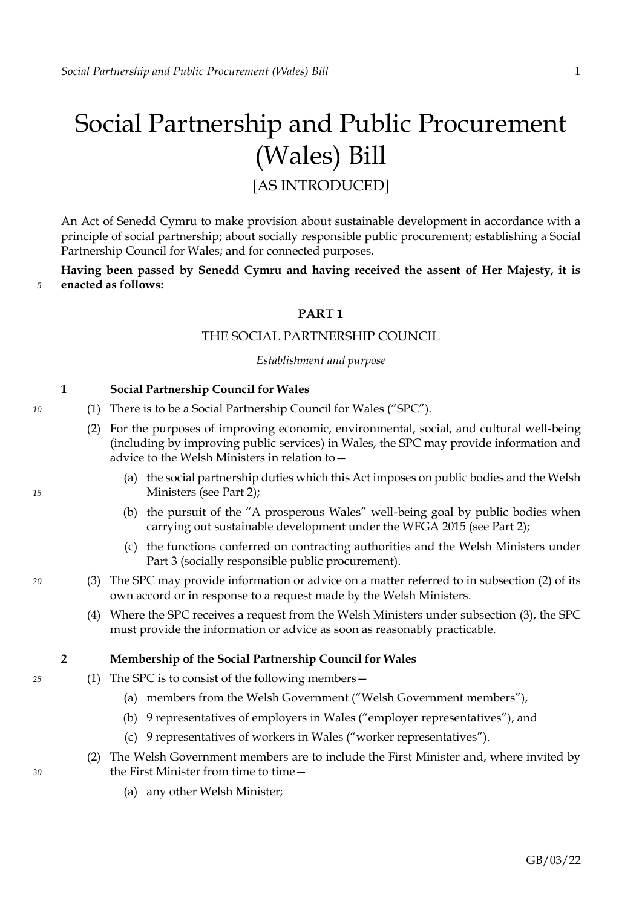# <span id="page-3-2"></span>Social Partnership and Public Procurement (Wales) Bill

[AS INTRODUCED]

An Act of Senedd Cymru to make provision about sustainable development in accordance with a principle of social partnership; about socially responsible public procurement; establishing a Social Partnership Council for Wales; and for connected purposes.

**Having been passed by Senedd Cymru and having received the assent of Her Majesty, it is** *5* **enacted as follows:**

## **PART 1**

#### THE SOCIAL PARTNERSHIP COUNCIL

*Establishment and purpose*

#### <span id="page-3-0"></span>**1 Social Partnership Council for Wales**

- *10* (1) There is to be a Social Partnership Council for Wales ("SPC").
	- (2) For the purposes of improving economic, environmental, social, and cultural well-being (including by improving public services) in Wales, the SPC may provide information and advice to the Welsh Ministers in relation to—
- (a) the social partnership duties which this Act imposes on public bodies and the Welsh *15* Ministers (see Part [2\)](#page-8-0);
	- (b) the pursuit of the "A prosperous Wales" well-being goal by public bodies when carrying out sustainable development under the WFGA 2015 (see Part [2\)](#page-8-0);
	- (c) the functions conferred on contracting authorities and the Welsh Ministers under Part [3](#page-9-0) (socially responsible public procurement).
- <span id="page-3-1"></span>*20* (3) The SPC may provide information or advice on a matter referred to in subsection [\(2\)](#page-3-0) of its own accord or in response to a request made by the Welsh Ministers.
	- (4) Where the SPC receives a request from the Welsh Ministers under subsection [\(3\),](#page-3-1) the SPC must provide the information or advice as soon as reasonably practicable.

#### **2 Membership of the Social Partnership Council for Wales**

- *25* (1) The SPC is to consist of the following members—
	- (a) members from the Welsh Government ("Welsh Government members"),
	- (b) 9 representatives of employers in Wales ("employer representatives"), and
	- (c) 9 representatives of workers in Wales ("worker representatives").
- (2) The Welsh Government members are to include the First Minister and, where invited by *30* the First Minister from time to time—
	- (a) any other Welsh Minister;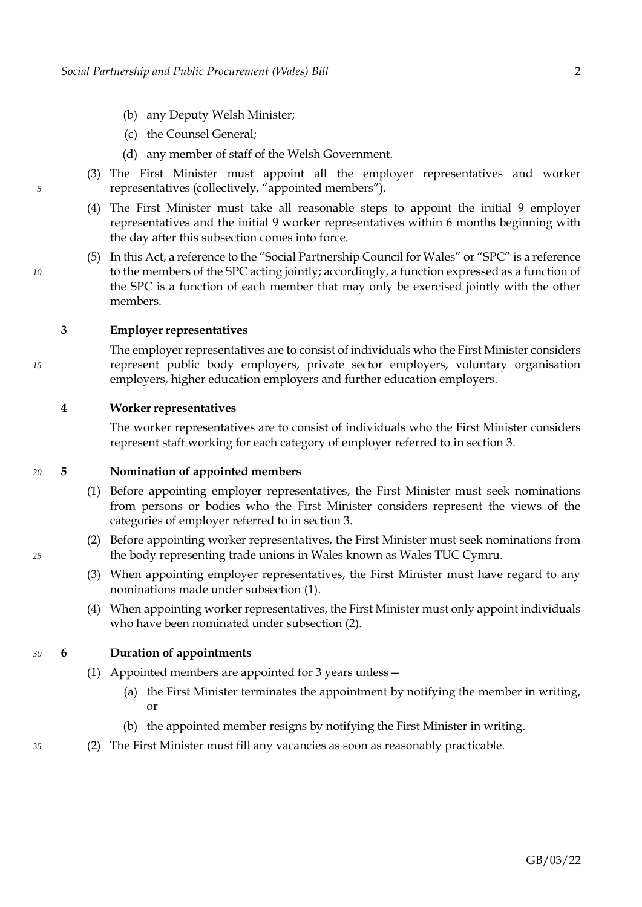- <span id="page-4-0"></span>(b) any Deputy Welsh Minister;
- (c) the Counsel General;
- (d) any member of staff of the Welsh Government.
- (3) The First Minister must appoint all the employer representatives and worker *5* representatives (collectively, "appointed members").
	- (4) The First Minister must take all reasonable steps to appoint the initial 9 employer representatives and the initial 9 worker representatives within 6 months beginning with the day after this subsection comes into force.
- (5) In this Act, a reference to the "Social Partnership Council for Wales" or "SPC" is a reference *10* to the members of the SPC acting jointly; accordingly, a function expressed as a function of the SPC is a function of each member that may only be exercised jointly with the other members.

#### **3 Employer representatives**

The employer representatives are to consist of individuals who the First Minister considers *15* represent public body employers, private sector employers, voluntary organisation employers, higher education employers and further education employers.

#### **4 Worker representatives**

The worker representatives are to consist of individuals who the First Minister considers represent staff working for each category of employer referred to in section [3.](#page-4-0)

#### *20* **5 Nomination of appointed members**

- <span id="page-4-2"></span><span id="page-4-1"></span>(1) Before appointing employer representatives, the First Minister must seek nominations from persons or bodies who the First Minister considers represent the views of the categories of employer referred to in section [3.](#page-4-0)
- (2) Before appointing worker representatives, the First Minister must seek nominations from *25* the body representing trade unions in Wales known as Wales TUC Cymru.
	- (3) When appointing employer representatives, the First Minister must have regard to any nominations made under subsection [\(1\).](#page-4-1)
	- (4) When appointing worker representatives, the First Minister must only appoint individuals who have been nominated under subsection [\(2\).](#page-4-2)

#### *30* **6 Duration of appointments**

- (1) Appointed members are appointed for 3 years unless—
	- (a) the First Minister terminates the appointment by notifying the member in writing, or
	- (b) the appointed member resigns by notifying the First Minister in writing.
- *35* (2) The First Minister must fill any vacancies as soon as reasonably practicable.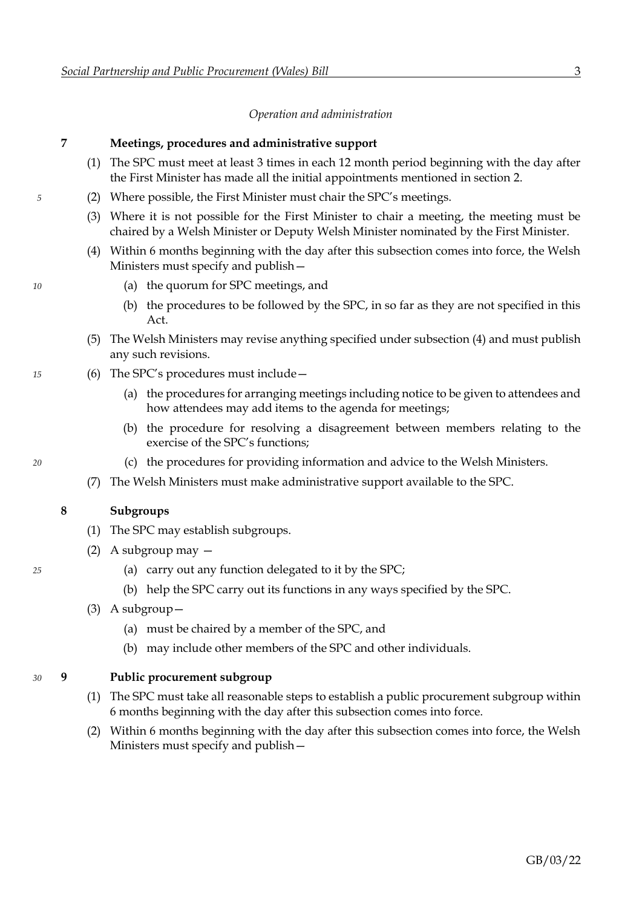#### *Operation and administration*

#### <span id="page-5-2"></span>**7 Meetings, procedures and administrative support**

- (1) The SPC must meet at least 3 times in each 12 month period beginning with the day after the First Minister has made all the initial appointments mentioned in section [2.](#page-3-2)
- *5* (2) Where possible, the First Minister must chair the SPC's meetings.
	- (3) Where it is not possible for the First Minister to chair a meeting, the meeting must be chaired by a Welsh Minister or Deputy Welsh Minister nominated by the First Minister.
	- (4) Within 6 months beginning with the day after this subsection comes into force, the Welsh Ministers must specify and publish—
- <span id="page-5-0"></span>*10* (a) the quorum for SPC meetings, and
	- (b) the procedures to be followed by the SPC, in so far as they are not specified in this Act.
	- (5) The Welsh Ministers may revise anything specified under subsection [\(4\)](#page-5-0) and must publish any such revisions.
- *15* (6) The SPC's procedures must include—
	- (a) the procedures for arranging meetings including notice to be given to attendees and how attendees may add items to the agenda for meetings;
	- (b) the procedure for resolving a disagreement between members relating to the exercise of the SPC's functions;
- *20* (c) the procedures for providing information and advice to the Welsh Ministers.
	- (7) The Welsh Ministers must make administrative support available to the SPC.

#### **8 Subgroups**

- (1) The SPC may establish subgroups.
- (2) A subgroup may —
- *25* (a) carry out any function delegated to it by the SPC;
	- (b) help the SPC carry out its functions in any ways specified by the SPC.
	- (3) A subgroup—
		- (a) must be chaired by a member of the SPC, and
		- (b) may include other members of the SPC and other individuals.

#### *30* **9 Public procurement subgroup**

- <span id="page-5-3"></span>(1) The SPC must take all reasonable steps to establish a public procurement subgroup within 6 months beginning with the day after this subsection comes into force.
- <span id="page-5-1"></span>(2) Within 6 months beginning with the day after this subsection comes into force, the Welsh Ministers must specify and publish—

- 
-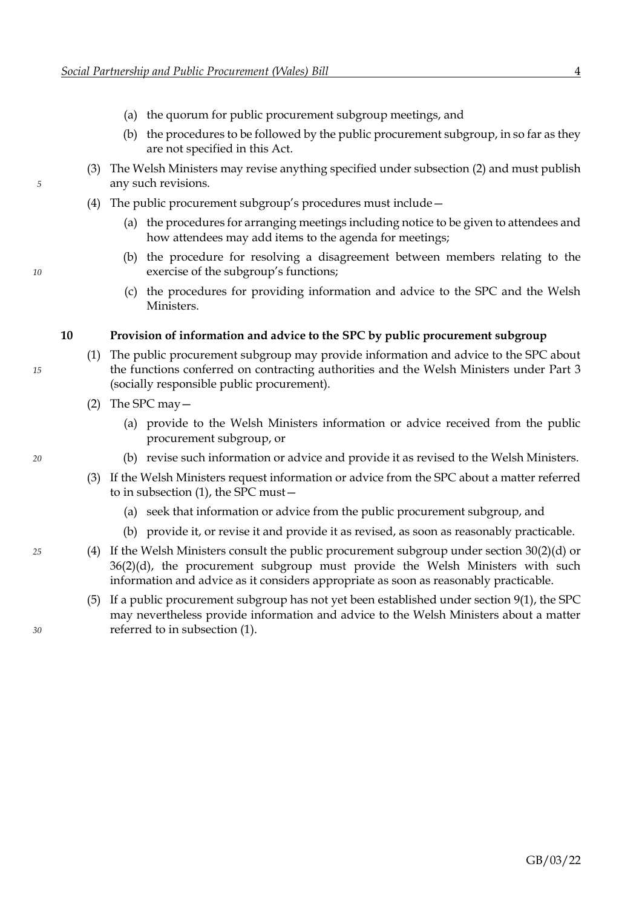- (a) the quorum for public procurement subgroup meetings, and
- (b) the procedures to be followed by the public procurement subgroup, in so far as they are not specified in this Act.
- (3) The Welsh Ministers may revise anything specified under subsection [\(2\)](#page-5-1) and must publish *5* any such revisions.
	- (4) The public procurement subgroup's procedures must include—
		- (a) the procedures for arranging meetings including notice to be given to attendees and how attendees may add items to the agenda for meetings;
- (b) the procedure for resolving a disagreement between members relating to the *10* exercise of the subgroup's functions;
	- (c) the procedures for providing information and advice to the SPC and the Welsh **Ministers**

#### <span id="page-6-0"></span>**10 Provision of information and advice to the SPC by public procurement subgroup**

- (1) The public procurement subgroup may provide information and advice to the SPC about *15* the functions conferred on contracting authorities and the Welsh Ministers under Part [3](#page-9-0) (socially responsible public procurement).
	- (2) The SPC may—
		- (a) provide to the Welsh Ministers information or advice received from the public procurement subgroup, or
- *20* (b) revise such information or advice and provide it as revised to the Welsh Ministers.
	- (3) If the Welsh Ministers request information or advice from the SPC about a matter referred to in subsection [\(1\),](#page-6-0) the SPC must—
		- (a) seek that information or advice from the public procurement subgroup, and
		- (b) provide it, or revise it and provide it as revised, as soon as reasonably practicable.
- *25* (4) If the Welsh Ministers consult the public procurement subgroup under section [30](#page-14-0)[\(2\)](#page-15-0)[\(d\)](#page-15-1) or [36](#page-18-0)[\(2\)](#page-18-1)[\(d\),](#page-18-2) the procurement subgroup must provide the Welsh Ministers with such information and advice as it considers appropriate as soon as reasonably practicable.
- (5) If a public procurement subgroup has not yet been established under section [9](#page-5-2)[\(1\),](#page-5-3) the SPC may nevertheless provide information and advice to the Welsh Ministers about a matter *30* referred to in subsection [\(1\).](#page-6-0)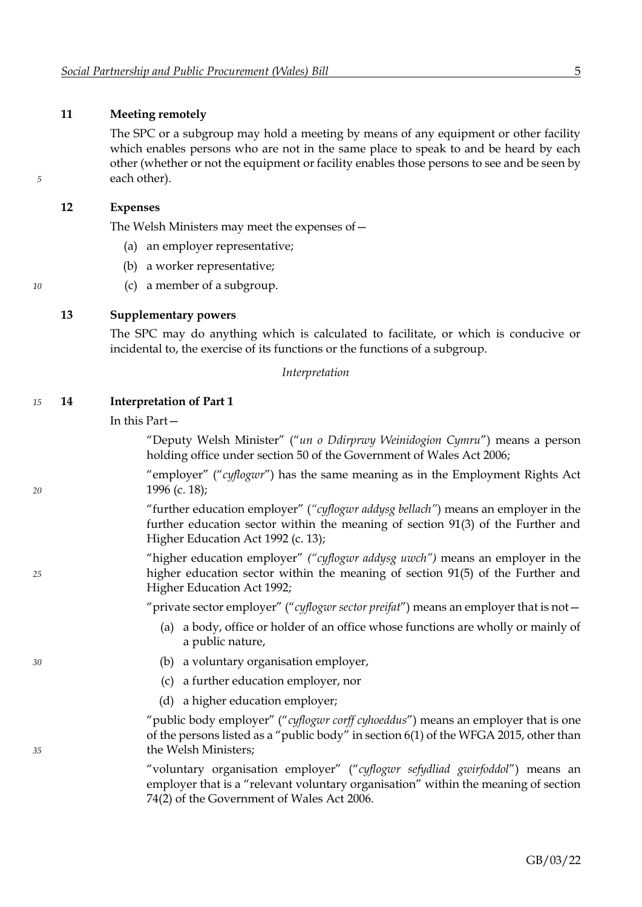#### **11 Meeting remotely**

The SPC or a subgroup may hold a meeting by means of any equipment or other facility which enables persons who are not in the same place to speak to and be heard by each other (whether or not the equipment or facility enables those persons to see and be seen by *5* each other).

#### **12 Expenses**

The Welsh Ministers may meet the expenses of—

- (a) an employer representative;
- (b) a worker representative;
- *10* (c) a member of a subgroup.

#### **13 Supplementary powers**

The SPC may do anything which is calculated to facilitate, or which is conducive or incidental to, the exercise of its functions or the functions of a subgroup.

*Interpretation*

#### *15* **14 Interpretation of Part 1**

In this Part—

"Deputy Welsh Minister" ("*un o Ddirprwy Weinidogion Cymru*") means a person holding office under section 50 of the Government of Wales Act 2006;

"employer" ("*cyflogwr*") has the same meaning as in the Employment Rights Act *20* 1996 (c. 18);

> "further education employer" (*"cyflogwr addysg bellach"*) means an employer in the further education sector within the meaning of section 91(3) of the Further and Higher Education Act 1992 (c. 13);

"higher education employer" *("cyflogwr addysg uwch")* means an employer in the *25* higher education sector within the meaning of section 91(5) of the Further and Higher Education Act 1992;

"private sector employer" ("*cyflogwr sector preifat*") means an employer that is not—

- (a) a body, office or holder of an office whose functions are wholly or mainly of a public nature,
- *30* (b) a voluntary organisation employer,
	- (c) a further education employer, nor
	- (d) a higher education employer;

"public body employer" ("*cyflogwr corff cyhoeddus*") means an employer that is one of the persons listed as a "public body" in section 6(1) of the WFGA 2015, other than *35* the Welsh Ministers;

> "voluntary organisation employer" ("*cyflogwr sefydliad gwirfoddol*") means an employer that is a "relevant voluntary organisation" within the meaning of section 74(2) of the Government of Wales Act 2006.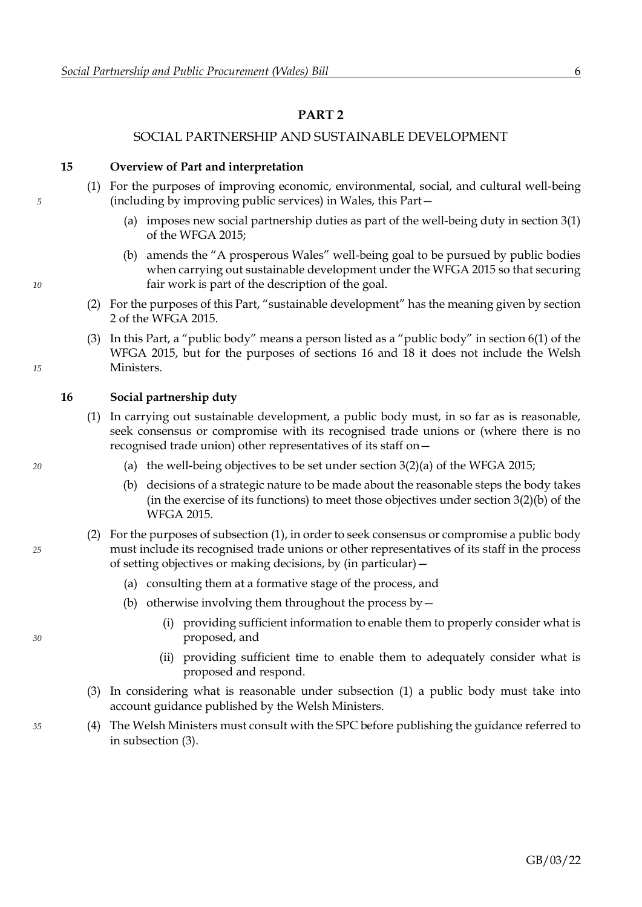## <span id="page-8-0"></span>**PART 2**

### SOCIAL PARTNERSHIP AND SUSTAINABLE DEVELOPMENT

<span id="page-8-1"></span>**15 Overview of Part and interpretation**

- (1) For the purposes of improving economic, environmental, social, and cultural well-being *5* (including by improving public services) in Wales, this Part—
	- (a) imposes new social partnership duties as part of the well-being duty in section 3(1) of the WFGA 2015;
- (b) amends the "A prosperous Wales" well-being goal to be pursued by public bodies when carrying out sustainable development under the WFGA 2015 so that securing *10* fair work is part of the description of the goal.
	- (2) For the purposes of this Part, "sustainable development" has the meaning given by section 2 of the WFGA 2015.
- (3) In this Part, a "public body" means a person listed as a "public body" in section 6(1) of the WFGA 2015, but for the purposes of sections [16](#page-8-1) and [18](#page-9-1) it does not include the Welsh *15* Ministers.

**16 Social partnership duty**

- <span id="page-8-2"></span>(1) In carrying out sustainable development, a public body must, in so far as is reasonable, seek consensus or compromise with its recognised trade unions or (where there is no recognised trade union) other representatives of its staff on—
- *20* (a) the well-being objectives to be set under section 3(2)(a) of the WFGA 2015;
	- (b) decisions of a strategic nature to be made about the reasonable steps the body takes (in the exercise of its functions) to meet those objectives under section 3(2)(b) of the WFGA 2015.
- (2) For the purposes of subsection [\(1\),](#page-8-2) in order to seek consensus or compromise a public body *25* must include its recognised trade unions or other representatives of its staff in the process of setting objectives or making decisions, by (in particular)—
	- (a) consulting them at a formative stage of the process, and
	- (b) otherwise involving them throughout the process by  $-$
- (i) providing sufficient information to enable them to properly consider what is *30* proposed, and
	- (ii) providing sufficient time to enable them to adequately consider what is proposed and respond.
	- (3) In considering what is reasonable under subsection [\(1\)](#page-8-2) a public body must take into account guidance published by the Welsh Ministers.
- <span id="page-8-3"></span>*35* (4) The Welsh Ministers must consult with the SPC before publishing the guidance referred to in subsection [\(3\).](#page-8-3)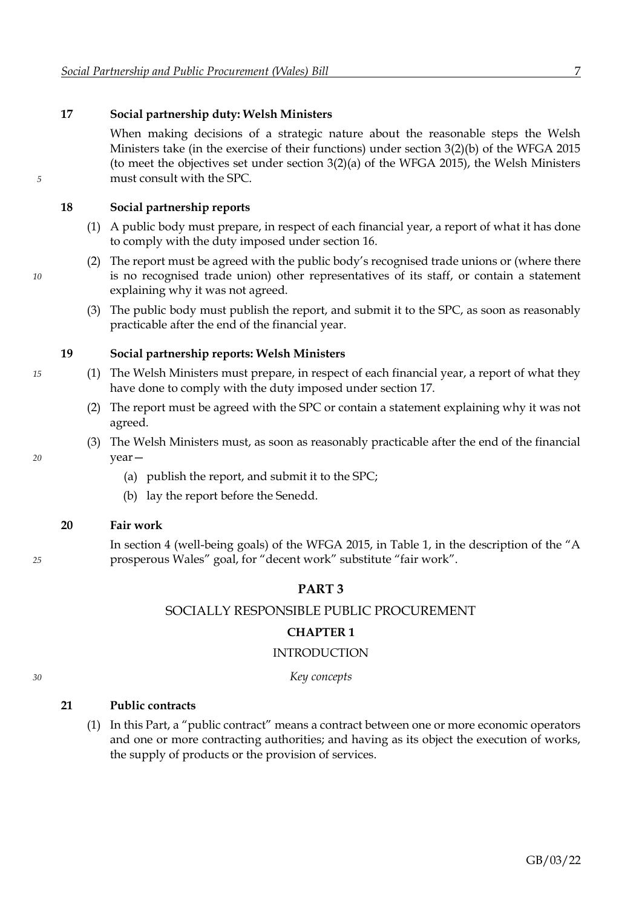#### <span id="page-9-1"></span>**17 Social partnership duty: Welsh Ministers**

When making decisions of a strategic nature about the reasonable steps the Welsh Ministers take (in the exercise of their functions) under section 3(2)(b) of the WFGA 2015 (to meet the objectives set under section 3(2)(a) of the WFGA 2015), the Welsh Ministers *5* must consult with the SPC.

#### **18 Social partnership reports**

- (1) A public body must prepare, in respect of each financial year, a report of what it has done to comply with the duty imposed under section [16.](#page-8-1)
- (2) The report must be agreed with the public body's recognised trade unions or (where there *10* is no recognised trade union) other representatives of its staff, or contain a statement explaining why it was not agreed.
	- (3) The public body must publish the report, and submit it to the SPC, as soon as reasonably practicable after the end of the financial year.

#### **19 Social partnership reports: Welsh Ministers**

- *15* (1) The Welsh Ministers must prepare, in respect of each financial year, a report of what they have done to comply with the duty imposed under section [17.](#page-9-1)
	- (2) The report must be agreed with the SPC or contain a statement explaining why it was not agreed.
- (3) The Welsh Ministers must, as soon as reasonably practicable after the end of the financial *20* year—
	- (a) publish the report, and submit it to the SPC;
	- (b) lay the report before the Senedd.

#### **20 Fair work**

In section 4 (well-being goals) of the WFGA 2015, in Table 1, in the description of the "A *25* prosperous Wales" goal, for "decent work" substitute "fair work".

#### <span id="page-9-0"></span>**PART 3**

#### SOCIALLY RESPONSIBLE PUBLIC PROCUREMENT

#### **CHAPTER 1**

#### INTRODUCTION

#### *30 Key concepts*

## **21 Public contracts**

(1) In this Part, a "public contract" means a contract between one or more economic operators and one or more contracting authorities; and having as its object the execution of works, the supply of products or the provision of services.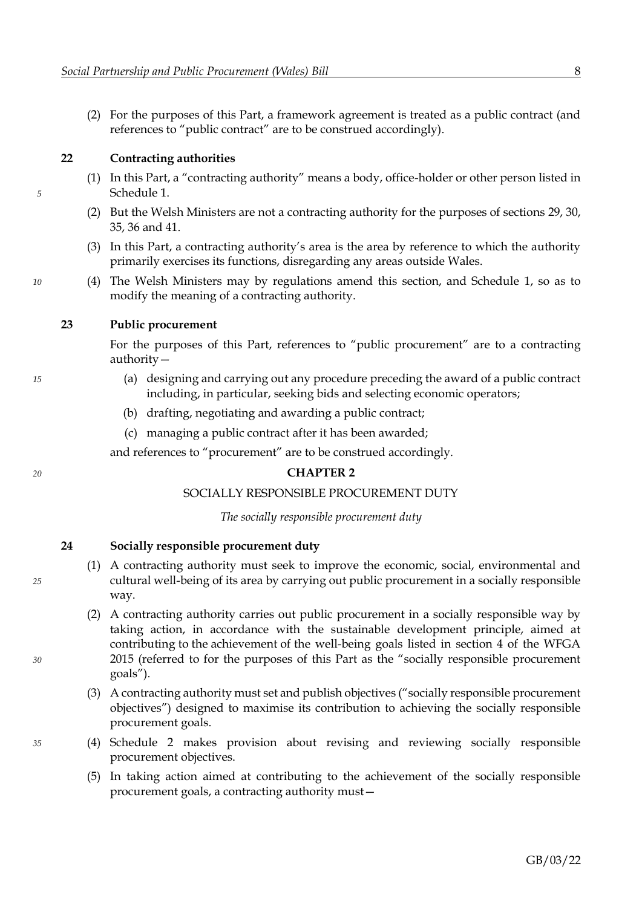<span id="page-10-2"></span>(2) For the purposes of this Part, a framework agreement is treated as a public contract (and references to "public contract" are to be construed accordingly).

#### **22 Contracting authorities**

- (1) In this Part, a "contracting authority" means a body, office-holder or other person listed in *5* Schedule [1.](#page-26-0)
	- (2) But the Welsh Ministers are not a contracting authority for the purposes of sections [29, 30,](#page-14-0) [35,](#page-17-0) [36](#page-18-0) and [41.](#page-21-0)
	- (3) In this Part, a contracting authority's area is the area by reference to which the authority primarily exercises its functions, disregarding any areas outside Wales.
- <span id="page-10-4"></span>*10* (4) The Welsh Ministers may by regulations amend this section, and Schedule [1,](#page-26-0) so as to modify the meaning of a contracting authority.

#### **23 Public procurement**

For the purposes of this Part, references to "public procurement" are to a contracting authority—

- *15* (a) designing and carrying out any procedure preceding the award of a public contract including, in particular, seeking bids and selecting economic operators;
	- (b) drafting, negotiating and awarding a public contract;
	- (c) managing a public contract after it has been awarded;

and references to "procurement" are to be construed accordingly.

#### *20* **CHAPTER 2**

#### SOCIALLY RESPONSIBLE PROCUREMENT DUTY

*The socially responsible procurement duty*

<span id="page-10-0"></span>**24 Socially responsible procurement duty**

- (1) A contracting authority must seek to improve the economic, social, environmental and *25* cultural well-being of its area by carrying out public procurement in a socially responsible way.
- <span id="page-10-1"></span>(2) A contracting authority carries out public procurement in a socially responsible way by taking action, in accordance with the sustainable development principle, aimed at contributing to the achievement of the well-being goals listed in section 4 of the WFGA *30* 2015 (referred to for the purposes of this Part as the "socially responsible procurement goals").
	- (3) A contracting authority must set and publish objectives ("socially responsible procurement objectives") designed to maximise its contribution to achieving the socially responsible procurement goals.
- <span id="page-10-5"></span><span id="page-10-3"></span>*35* (4) Schedule [2](#page-27-0) makes provision about revising and reviewing socially responsible procurement objectives.
	- (5) In taking action aimed at contributing to the achievement of the socially responsible procurement goals, a contracting authority must—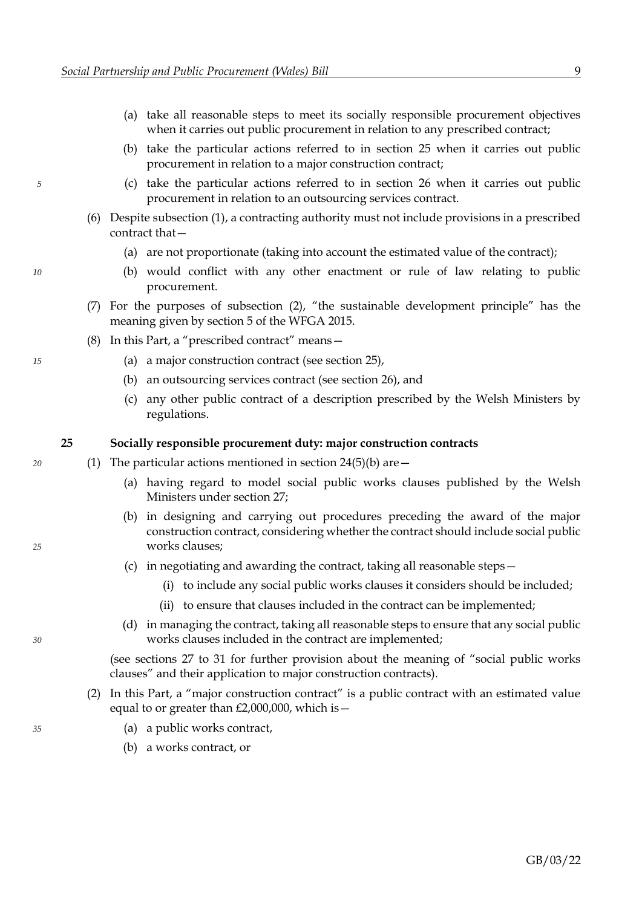- <span id="page-11-0"></span>(a) take all reasonable steps to meet its socially responsible procurement objectives when it carries out public procurement in relation to any prescribed contract;
- <span id="page-11-2"></span><span id="page-11-1"></span>(b) take the particular actions referred to in section [25](#page-11-0) when it carries out public procurement in relation to a major construction contract;
- *5* (c) take the particular actions referred to in section [26](#page-12-0) when it carries out public procurement in relation to an outsourcing services contract.
	- (6) Despite subsection [\(1\),](#page-10-0) a contracting authority must not include provisions in a prescribed contract that—
		- (a) are not proportionate (taking into account the estimated value of the contract);
- *10* (b) would conflict with any other enactment or rule of law relating to public procurement.
	- (7) For the purposes of subsection [\(2\)](#page-10-1), "the sustainable development principle" has the meaning given by section 5 of the WFGA 2015.
	- (8) In this Part, a "prescribed contract" means—
- <span id="page-11-8"></span>*15* (a) a major construction contract (see section [25\)](#page-11-0),
	- (b) an outsourcing services contract (see section [26\)](#page-12-0), and
	- (c) any other public contract of a description prescribed by the Welsh Ministers by regulations.

#### <span id="page-11-9"></span><span id="page-11-3"></span>**25 Socially responsible procurement duty: major construction contracts**

- *20* (1) The particular actions mentioned in section [24](#page-10-2)[\(5\)](#page-10-3)[\(b\)](#page-11-1) are—
	- (a) having regard to model social public works clauses published by the Welsh Ministers under section [27;](#page-12-0)
- <span id="page-11-4"></span>(b) in designing and carrying out procedures preceding the award of the major construction contract, considering whether the contract should include social public *25* works clauses;
	- (c) in negotiating and awarding the contract, taking all reasonable steps—
		- (i) to include any social public works clauses it considers should be included;
		- (ii) to ensure that clauses included in the contract can be implemented;
- (d) in managing the contract, taking all reasonable steps to ensure that any social public *30* works clauses included in the contract are implemented;

<span id="page-11-7"></span><span id="page-11-6"></span>(see sections [27](#page-12-0) to [31](#page-16-0) for further provision about the meaning of "social public works clauses" and their application to major construction contracts).

- (2) In this Part, a "major construction contract" is a public contract with an estimated value equal to or greater than  $£2,000,000$ , which is  $-$
- *35* (a) a public works contract,
	- (b) a works contract, or
- 
- <span id="page-11-5"></span>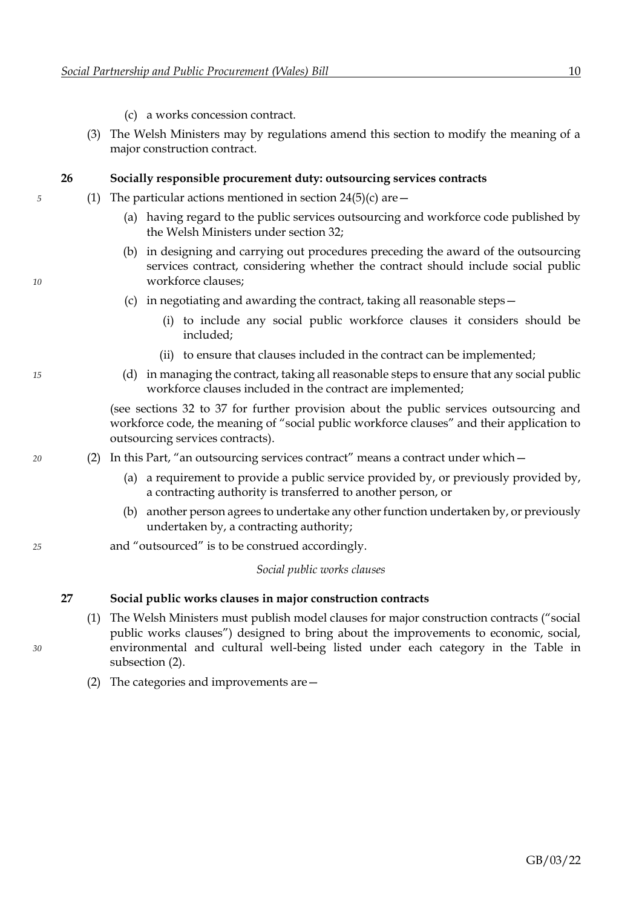- (c) a works concession contract.
- <span id="page-12-7"></span><span id="page-12-0"></span>(3) The Welsh Ministers may by regulations amend this section to modify the meaning of a major construction contract.

#### <span id="page-12-2"></span>**26 Socially responsible procurement duty: outsourcing services contracts**

- *5* (1) The particular actions mentioned in section [24](#page-10-2)[\(5\)](#page-10-3)[\(c\)](#page-11-2) are—
	- (a) having regard to the public services outsourcing and workforce code published by the Welsh Ministers under section [32;](#page-16-0)
- <span id="page-12-4"></span><span id="page-12-3"></span>(b) in designing and carrying out procedures preceding the award of the outsourcing services contract, considering whether the contract should include social public *10* workforce clauses;
	- (c) in negotiating and awarding the contract, taking all reasonable steps—
		- (i) to include any social public workforce clauses it considers should be included;
		- (ii) to ensure that clauses included in the contract can be implemented;
- *15* (d) in managing the contract, taking all reasonable steps to ensure that any social public workforce clauses included in the contract are implemented;

<span id="page-12-8"></span><span id="page-12-6"></span><span id="page-12-5"></span>(see sections [32](#page-16-0) to [37](#page-19-0) for further provision about the public services outsourcing and workforce code, the meaning of "social public workforce clauses" and their application to outsourcing services contracts).

- *20* (2) In this Part, "an outsourcing services contract" means a contract under which—
	- (a) a requirement to provide a public service provided by, or previously provided by, a contracting authority is transferred to another person, or
	- (b) another person agrees to undertake any other function undertaken by, or previously undertaken by, a contracting authority;
- *25* and "outsourced" is to be construed accordingly.

*Social public works clauses*

#### **27 Social public works clauses in major construction contracts**

- <span id="page-12-1"></span>(1) The Welsh Ministers must publish model clauses for major construction contracts ("social public works clauses") designed to bring about the improvements to economic, social, *30* environmental and cultural well-being listed under each category in the Table in subsection [\(2\).](#page-12-1)
	- (2) The categories and improvements are—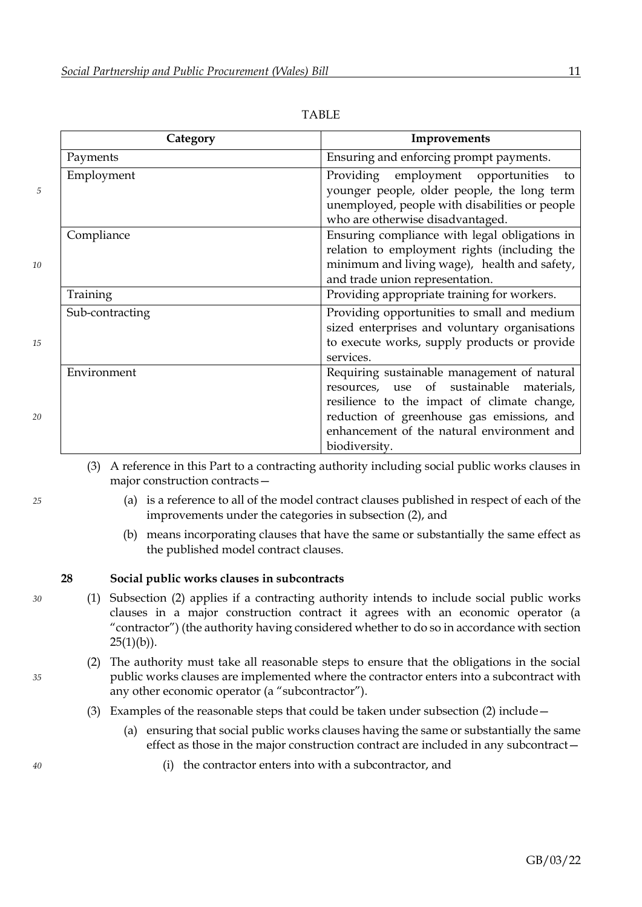<span id="page-13-1"></span>

|    | Category        | Improvements                                                                                                                                                                                                                                        |
|----|-----------------|-----------------------------------------------------------------------------------------------------------------------------------------------------------------------------------------------------------------------------------------------------|
|    | Payments        | Ensuring and enforcing prompt payments.                                                                                                                                                                                                             |
| 5  | Employment      | Providing employment opportunities<br>to<br>younger people, older people, the long term<br>unemployed, people with disabilities or people<br>who are otherwise disadvantaged.                                                                       |
| 10 | Compliance      | Ensuring compliance with legal obligations in<br>relation to employment rights (including the<br>minimum and living wage), health and safety,<br>and trade union representation.                                                                    |
|    | Training        | Providing appropriate training for workers.                                                                                                                                                                                                         |
| 15 | Sub-contracting | Providing opportunities to small and medium<br>sized enterprises and voluntary organisations<br>to execute works, supply products or provide<br>services.                                                                                           |
| 20 | Environment     | Requiring sustainable management of natural<br>resources, use of sustainable materials,<br>resilience to the impact of climate change,<br>reduction of greenhouse gas emissions, and<br>enhancement of the natural environment and<br>biodiversity. |

TABLE

(3) A reference in this Part to a contracting authority including social public works clauses in major construction contracts—

- *25* (a) is a reference to all of the model contract clauses published in respect of each of the improvements under the categories in subsection [\(2\),](#page-12-1) and
	- (b) means incorporating clauses that have the same or substantially the same effect as the published model contract clauses.

#### **28 Social public works clauses in subcontracts**

- *30* (1) Subsection [\(2\)](#page-13-0) applies if a contracting authority intends to include social public works clauses in a major construction contract it agrees with an economic operator (a "contractor") (the authority having considered whether to do so in accordance with section  $25(1)(b)$  $25(1)(b)$  $25(1)(b)$ ).
- <span id="page-13-0"></span>(2) The authority must take all reasonable steps to ensure that the obligations in the social *35* public works clauses are implemented where the contractor enters into a subcontract with any other economic operator (a "subcontractor").
	- (3) Examples of the reasonable steps that could be taken under subsection [\(2\)](#page-13-0) include—
		- (a) ensuring that social public works clauses having the same or substantially the same effect as those in the major construction contract are included in any subcontract—
- *40* (i) the contractor enters into with a subcontractor, and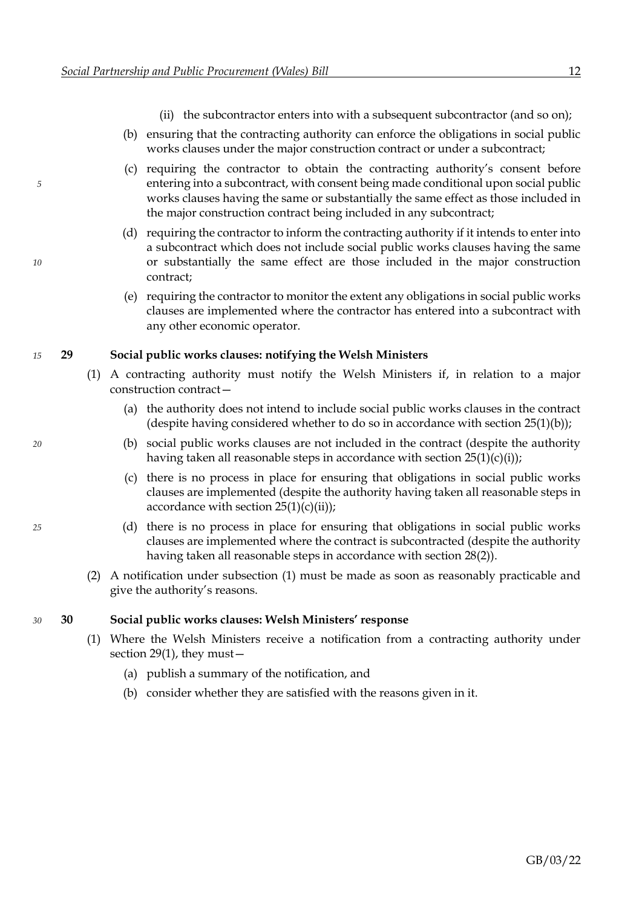- (ii) the subcontractor enters into with a subsequent subcontractor (and so on);
- (b) ensuring that the contracting authority can enforce the obligations in social public works clauses under the major construction contract or under a subcontract;
- <span id="page-14-0"></span>(c) requiring the contractor to obtain the contracting authority's consent before *5* entering into a subcontract, with consent being made conditional upon social public works clauses having the same or substantially the same effect as those included in the major construction contract being included in any subcontract;
- (d) requiring the contractor to inform the contracting authority if it intends to enter into a subcontract which does not include social public works clauses having the same *10* or substantially the same effect are those included in the major construction contract;
	- (e) requiring the contractor to monitor the extent any obligations in social public works clauses are implemented where the contractor has entered into a subcontract with any other economic operator.

#### *15* **29 Social public works clauses: notifying the Welsh Ministers**

- <span id="page-14-1"></span>(1) A contracting authority must notify the Welsh Ministers if, in relation to a major construction contract—
	- (a) the authority does not intend to include social public works clauses in the contract (despite having considered whether to do so in accordance with section  $25(1)(b)$  $25(1)(b)$  $25(1)(b)$ );
- *20* (b) social public works clauses are not included in the contract (despite the authority having taken all reasonable steps in accordance with section  $25(1)(c)(i)$  $25(1)(c)(i)$  $25(1)(c)(i)$  $25(1)(c)(i)$ ;
	- (c) there is no process in place for ensuring that obligations in social public works clauses are implemented (despite the authority having taken all reasonable steps in accordance with section  $25(1)(c)(ii)$  $25(1)(c)(ii)$  $25(1)(c)(ii)$  $25(1)(c)(ii)$ ;
- *25* (d) there is no process in place for ensuring that obligations in social public works clauses are implemented where the contract is subcontracted (despite the authority having taken all reasonable steps in accordance with section [28](#page-13-1)[\(2\)\)](#page-13-0).
	- (2) A notification under subsection [\(1\)](#page-14-1) must be made as soon as reasonably practicable and give the authority's reasons.

#### *30* **30 Social public works clauses: Welsh Ministers' response**

- <span id="page-14-2"></span>(1) Where the Welsh Ministers receive a notification from a contracting authority under section [29](#page-14-0)[\(1\),](#page-14-1) they must—
	- (a) publish a summary of the notification, and
	- (b) consider whether they are satisfied with the reasons given in it.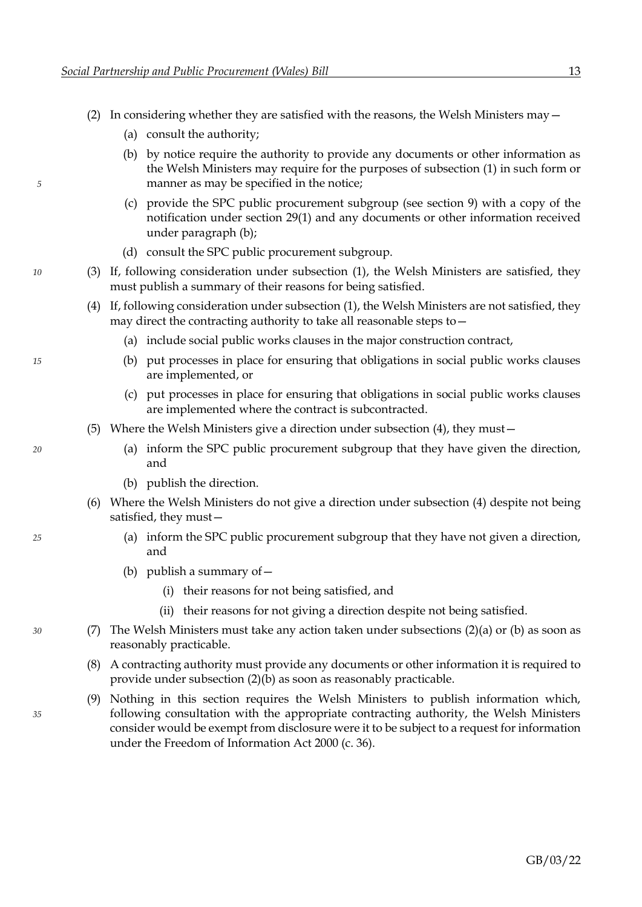- <span id="page-15-4"></span><span id="page-15-2"></span><span id="page-15-0"></span>(2) In considering whether they are satisfied with the reasons, the Welsh Ministers may  $-$ 
	- (a) consult the authority;
- (b) by notice require the authority to provide any documents or other information as the Welsh Ministers may require for the purposes of subsection [\(1\)](#page-14-2) in such form or *5* manner as may be specified in the notice;
	- (c) provide the SPC public procurement subgroup (see section [9\)](#page-5-2) with a copy of the notification under section [29](#page-14-0)[\(1\)](#page-14-1) and any documents or other information received under paragraph [\(b\);](#page-15-2)
	- (d) consult the SPC public procurement subgroup.
- <span id="page-15-3"></span><span id="page-15-1"></span>*10* (3) If, following consideration under subsection [\(1\),](#page-14-2) the Welsh Ministers are satisfied, they must publish a summary of their reasons for being satisfied.
	- (4) If, following consideration under subsection [\(1\),](#page-14-2) the Welsh Ministers are not satisfied, they may direct the contracting authority to take all reasonable steps to—
		- (a) include social public works clauses in the major construction contract,
- *15* (b) put processes in place for ensuring that obligations in social public works clauses are implemented, or
	- (c) put processes in place for ensuring that obligations in social public works clauses are implemented where the contract is subcontracted.
	- (5) Where the Welsh Ministers give a direction under subsection [\(4\),](#page-15-3) they must—
- *20* (a) inform the SPC public procurement subgroup that they have given the direction, and
	- (b) publish the direction.
	- (6) Where the Welsh Ministers do not give a direction under subsection [\(4\)](#page-15-3) despite not being satisfied, they must—
- *25* (a) inform the SPC public procurement subgroup that they have not given a direction, and
	- (b) publish a summary of  $-$ 
		- (i) their reasons for not being satisfied, and
		- (ii) their reasons for not giving a direction despite not being satisfied.
- *30* (7) The Welsh Ministers must take any action taken under subsections [\(2\)](#page-15-0)[\(a\)](#page-15-4) or [\(b\)](#page-15-2) as soon as reasonably practicable.
	- (8) A contracting authority must provide any documents or other information it is required to provide under subsection [\(2\)](#page-15-0)[\(b\)](#page-15-2) as soon as reasonably practicable.
- (9) Nothing in this section requires the Welsh Ministers to publish information which, *35* following consultation with the appropriate contracting authority, the Welsh Ministers consider would be exempt from disclosure were it to be subject to a request for information under the Freedom of Information Act 2000 (c. 36).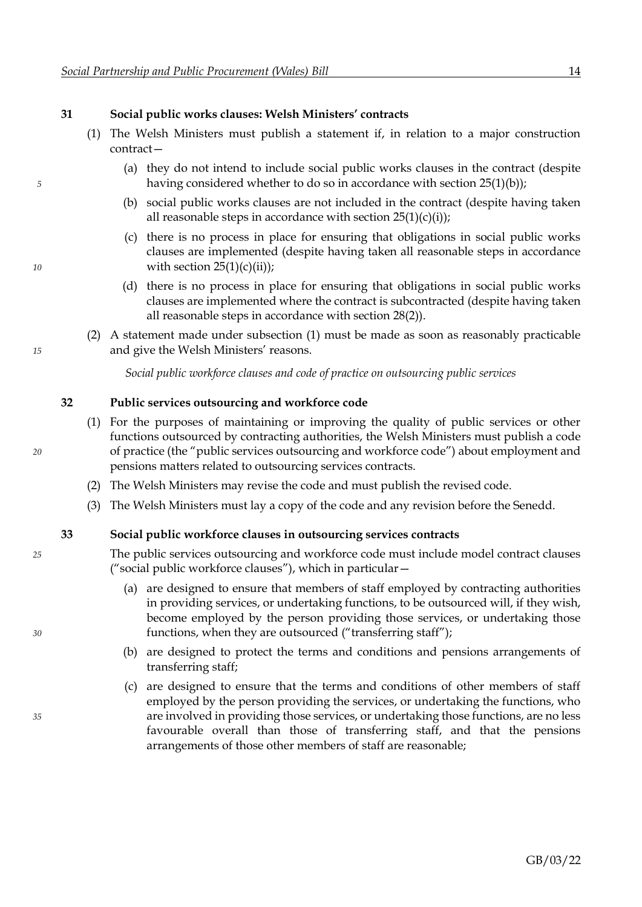#### <span id="page-16-0"></span>**31 Social public works clauses: Welsh Ministers' contracts**

- <span id="page-16-1"></span>(1) The Welsh Ministers must publish a statement if, in relation to a major construction contract—
- (a) they do not intend to include social public works clauses in the contract (despite *5* having considered whether to do so in accordance with section [25](#page-11-0)[\(1\)](#page-11-3)[\(b\)\)](#page-11-4);
	- (b) social public works clauses are not included in the contract (despite having taken all reasonable steps in accordance with section  $25(1)(c)(i)$  $25(1)(c)(i)$  $25(1)(c)(i)$  $25(1)(c)(i)$ ;
- (c) there is no process in place for ensuring that obligations in social public works clauses are implemented (despite having taken all reasonable steps in accordance *10* with section [25](#page-11-0)[\(1\)](#page-11-3)[\(c\)](#page-11-5)[\(ii\)\)](#page-11-7);
	- (d) there is no process in place for ensuring that obligations in social public works clauses are implemented where the contract is subcontracted (despite having taken all reasonable steps in accordance with section [28](#page-13-1)[\(2\)\)](#page-13-0).
- (2) A statement made under subsection [\(1\)](#page-16-1) must be made as soon as reasonably practicable *15* and give the Welsh Ministers' reasons.

*Social public workforce clauses and code of practice on outsourcing public services*

#### <span id="page-16-4"></span>**32 Public services outsourcing and workforce code**

- (1) For the purposes of maintaining or improving the quality of public services or other functions outsourced by contracting authorities, the Welsh Ministers must publish a code *20* of practice (the "public services outsourcing and workforce code") about employment and pensions matters related to outsourcing services contracts.
	- (2) The Welsh Ministers may revise the code and must publish the revised code.
	- (3) The Welsh Ministers must lay a copy of the code and any revision before the Senedd.

#### <span id="page-16-2"></span>**33 Social public workforce clauses in outsourcing services contracts**

- *25* The public services outsourcing and workforce code must include model contract clauses ("social public workforce clauses"), which in particular—
- (a) are designed to ensure that members of staff employed by contracting authorities in providing services, or undertaking functions, to be outsourced will, if they wish, become employed by the person providing those services, or undertaking those *30* functions, when they are outsourced ("transferring staff");
	- (b) are designed to protect the terms and conditions and pensions arrangements of transferring staff;
- <span id="page-16-3"></span>(c) are designed to ensure that the terms and conditions of other members of staff employed by the person providing the services, or undertaking the functions, who *35* are involved in providing those services, or undertaking those functions, are no less favourable overall than those of transferring staff, and that the pensions arrangements of those other members of staff are reasonable;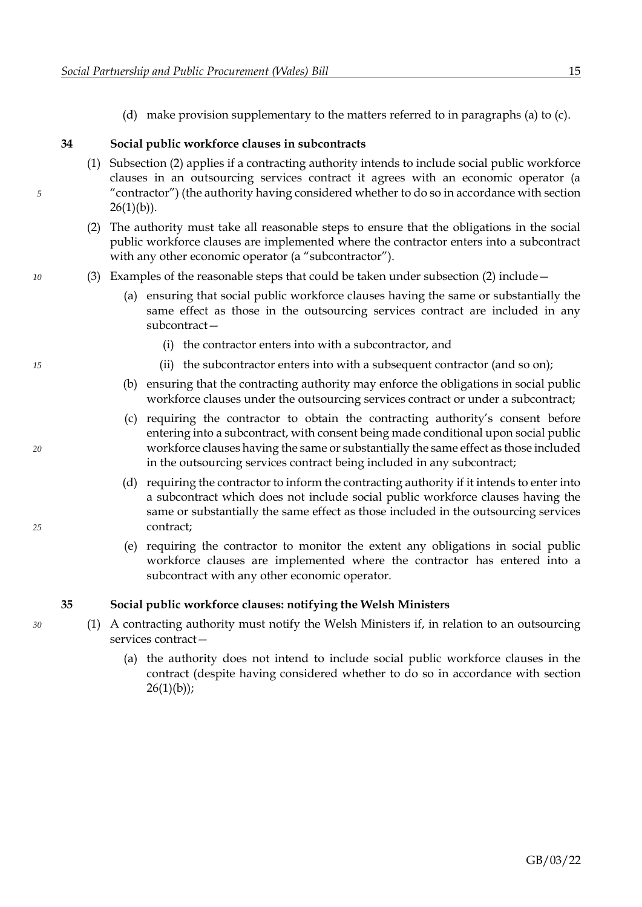(d) make provision supplementary to the matters referred to in paragraphs [\(a\)](#page-16-2) to [\(c\).](#page-16-3)

#### <span id="page-17-0"></span>**34 Social public workforce clauses in subcontracts**

- <span id="page-17-1"></span>(1) Subsection [\(2\)](#page-17-1) applies if a contracting authority intends to include social public workforce clauses in an outsourcing services contract it agrees with an economic operator (a *5* "contractor") (the authority having considered whether to do so in accordance with section  $26(1)(b)$  $26(1)(b)$  $26(1)(b)$ ).
	- (2) The authority must take all reasonable steps to ensure that the obligations in the social public workforce clauses are implemented where the contractor enters into a subcontract with any other economic operator (a "subcontractor").
- *10* (3) Examples of the reasonable steps that could be taken under subsection [\(2\)](#page-17-1) include—
	- (a) ensuring that social public workforce clauses having the same or substantially the same effect as those in the outsourcing services contract are included in any subcontract—
		- (i) the contractor enters into with a subcontractor, and
- *15* (ii) the subcontractor enters into with a subsequent contractor (and so on);
	- (b) ensuring that the contracting authority may enforce the obligations in social public workforce clauses under the outsourcing services contract or under a subcontract;
- (c) requiring the contractor to obtain the contracting authority's consent before entering into a subcontract, with consent being made conditional upon social public *20* workforce clauses having the same or substantially the same effect as those included in the outsourcing services contract being included in any subcontract;
- (d) requiring the contractor to inform the contracting authority if it intends to enter into a subcontract which does not include social public workforce clauses having the same or substantially the same effect as those included in the outsourcing services *25* contract;
	- (e) requiring the contractor to monitor the extent any obligations in social public workforce clauses are implemented where the contractor has entered into a subcontract with any other economic operator.

#### <span id="page-17-2"></span>**35 Social public workforce clauses: notifying the Welsh Ministers**

- *30* (1) A contracting authority must notify the Welsh Ministers if, in relation to an outsourcing services contract—
	- (a) the authority does not intend to include social public workforce clauses in the contract (despite having considered whether to do so in accordance with section  $26(1)(b)$  $26(1)(b)$  $26(1)(b)$ ;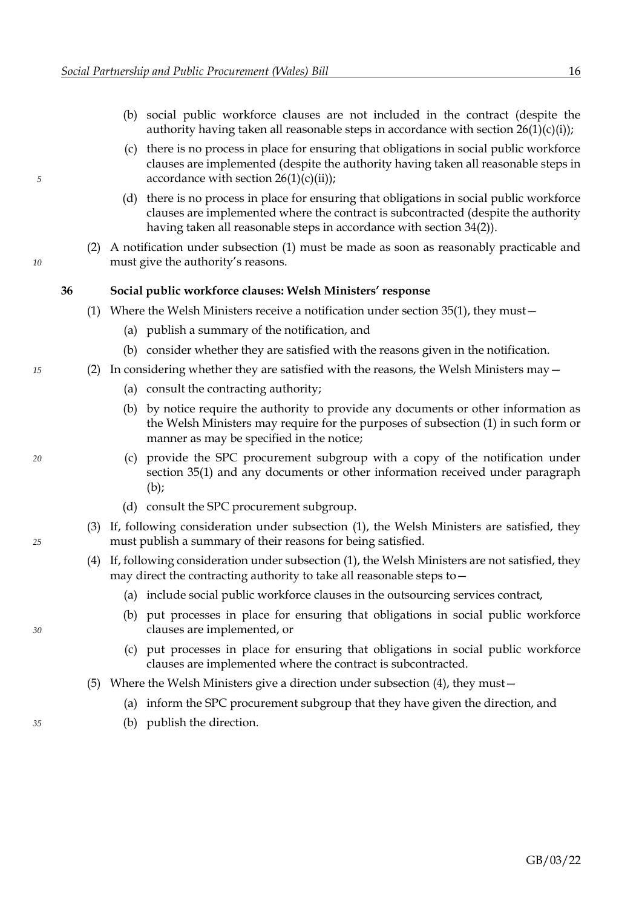- (b) social public workforce clauses are not included in the contract (despite the authority having taken all reasonable steps in accordance with section  $26(1)(c)(i)$  $26(1)(c)(i)$  $26(1)(c)(i)$  $26(1)(c)(i)$ ;
- <span id="page-18-0"></span>(c) there is no process in place for ensuring that obligations in social public workforce clauses are implemented (despite the authority having taken all reasonable steps in *5* accordance with section [26](#page-12-0)[\(1\)](#page-12-2)[\(c\)](#page-12-4)[\(ii\)\)](#page-12-6);
	- (d) there is no process in place for ensuring that obligations in social public workforce clauses are implemented where the contract is subcontracted (despite the authority having taken all reasonable steps in accordance with section [34](#page-17-0)[\(2\)\)](#page-17-1).
- (2) A notification under subsection [\(1\)](#page-17-2) must be made as soon as reasonably practicable and *10* must give the authority's reasons.

#### **36 Social public workforce clauses: Welsh Ministers' response**

- <span id="page-18-6"></span><span id="page-18-3"></span><span id="page-18-1"></span>(1) Where the Welsh Ministers receive a notification under section [35](#page-17-0)[\(1\),](#page-17-2) they must—
	- (a) publish a summary of the notification, and
	- (b) consider whether they are satisfied with the reasons given in the notification.
- <span id="page-18-4"></span>*15* (2) In considering whether they are satisfied with the reasons, the Welsh Ministers may—
	- (a) consult the contracting authority;
	- (b) by notice require the authority to provide any documents or other information as the Welsh Ministers may require for the purposes of subsection [\(1\)](#page-18-3) in such form or manner as may be specified in the notice;
- *20* (c) provide the SPC procurement subgroup with a copy of the notification under section [35](#page-17-0)[\(1\)](#page-17-2) and any documents or other information received under paragraph [\(b\);](#page-18-4)
	- (d) consult the SPC procurement subgroup.
- <span id="page-18-5"></span><span id="page-18-2"></span>(3) If, following consideration under subsection [\(1\),](#page-18-3) the Welsh Ministers are satisfied, they *25* must publish a summary of their reasons for being satisfied.
	- (4) If, following consideration under subsection [\(1\),](#page-18-3) the Welsh Ministers are not satisfied, they may direct the contracting authority to take all reasonable steps to—
		- (a) include social public workforce clauses in the outsourcing services contract,
- (b) put processes in place for ensuring that obligations in social public workforce *30* clauses are implemented, or
	- (c) put processes in place for ensuring that obligations in social public workforce clauses are implemented where the contract is subcontracted.
	- (5) Where the Welsh Ministers give a direction under subsection [\(4\),](#page-18-5) they must—
		- (a) inform the SPC procurement subgroup that they have given the direction, and
- *35* (b) publish the direction.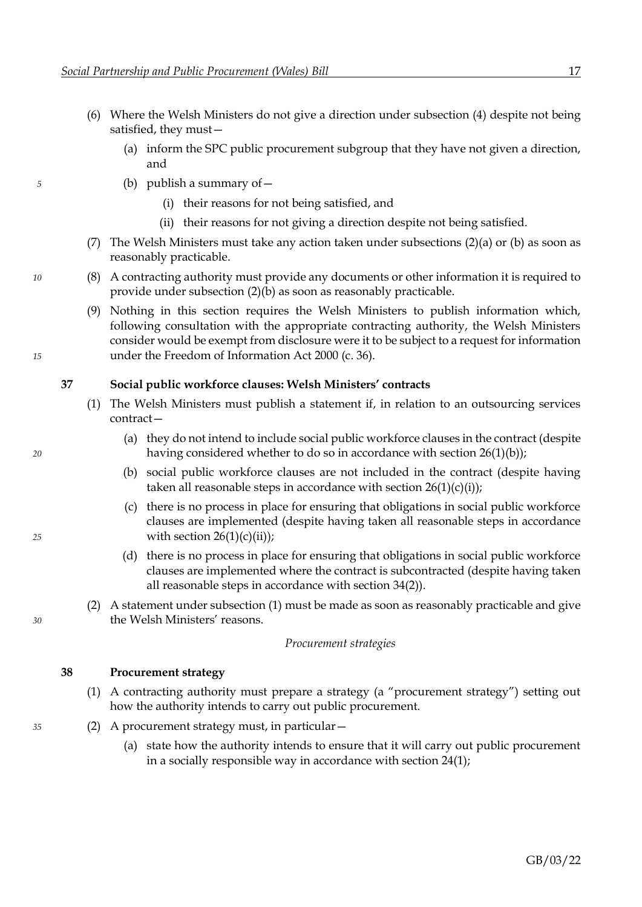- <span id="page-19-0"></span>(6) Where the Welsh Ministers do not give a direction under subsection [\(4\)](#page-18-5) despite not being satisfied, they must—
	- (a) inform the SPC public procurement subgroup that they have not given a direction, and
- *5* (b) publish a summary of—
	- (i) their reasons for not being satisfied, and
	- (ii) their reasons for not giving a direction despite not being satisfied.
	- (7) The Welsh Ministers must take any action taken under subsections  $(2)(a)$  $(2)(a)$  or  $(b)$  as soon as reasonably practicable.
- *10* (8) A contracting authority must provide any documents or other information it is required to provide under subsection [\(2\)](#page-18-1)[\(b\)](#page-18-4) as soon as reasonably practicable.
- (9) Nothing in this section requires the Welsh Ministers to publish information which, following consultation with the appropriate contracting authority, the Welsh Ministers consider would be exempt from disclosure were it to be subject to a request for information *15* under the Freedom of Information Act 2000 (c. 36).

#### **37 Social public workforce clauses: Welsh Ministers' contracts**

- <span id="page-19-1"></span>(1) The Welsh Ministers must publish a statement if, in relation to an outsourcing services contract—
- (a) they do not intend to include social public workforce clauses in the contract (despite *20* having considered whether to do so in accordance with section [26](#page-12-0)[\(1\)](#page-12-2)[\(b\)\)](#page-12-3);
	- (b) social public workforce clauses are not included in the contract (despite having taken all reasonable steps in accordance with section  $26(1)(c)(i)$  $26(1)(c)(i)$  $26(1)(c)(i)$  $26(1)(c)(i)$ ;
- (c) there is no process in place for ensuring that obligations in social public workforce clauses are implemented (despite having taken all reasonable steps in accordance *25* with section [26](#page-12-0)[\(1\)](#page-12-2)[\(c\)](#page-12-4)[\(ii\)\)](#page-12-6);
	- (d) there is no process in place for ensuring that obligations in social public workforce clauses are implemented where the contract is subcontracted (despite having taken all reasonable steps in accordance with section [34](#page-17-0)[\(2\)\)](#page-17-1).
- (2) A statement under subsection [\(1\)](#page-19-1) must be made as soon as reasonably practicable and give *30* the Welsh Ministers' reasons.

#### *Procurement strategies*

#### **38 Procurement strategy**

- <span id="page-19-2"></span>(1) A contracting authority must prepare a strategy (a "procurement strategy") setting out how the authority intends to carry out public procurement.
- *35* (2) A procurement strategy must, in particular—
	- (a) state how the authority intends to ensure that it will carry out public procurement in a socially responsible way in accordance with section [24](#page-10-2)[\(1\);](#page-10-0)
- 
- 
-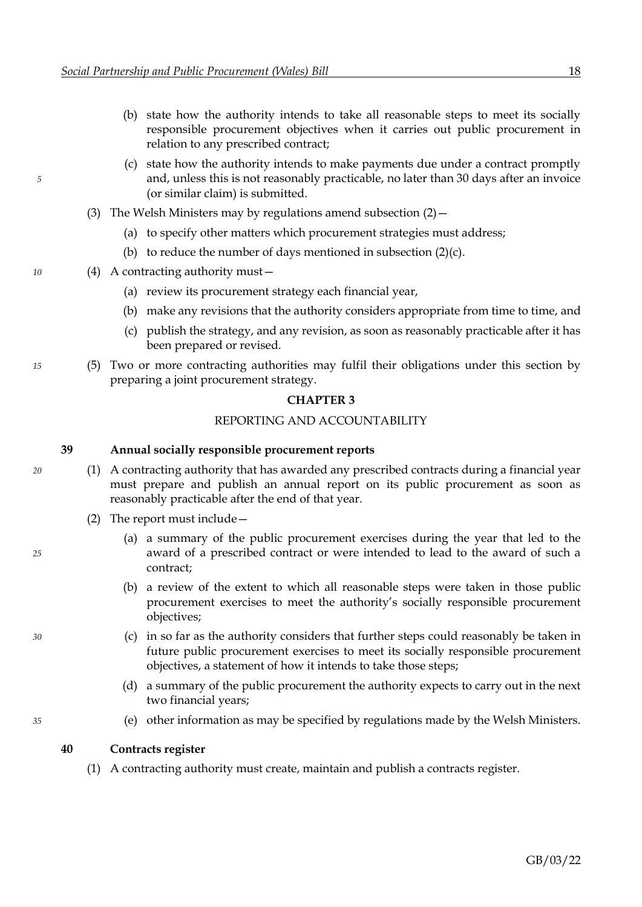- <span id="page-20-0"></span>(b) state how the authority intends to take all reasonable steps to meet its socially responsible procurement objectives when it carries out public procurement in relation to any prescribed contract;
- <span id="page-20-1"></span>(c) state how the authority intends to make payments due under a contract promptly *5* and, unless this is not reasonably practicable, no later than 30 days after an invoice (or similar claim) is submitted.
	- (3) The Welsh Ministers may by regulations amend subsection  $(2)$  -
		- (a) to specify other matters which procurement strategies must address;
		- (b) to reduce the number of days mentioned in subsection  $(2)(c)$ .
- *10* (4) A contracting authority must—
	- (a) review its procurement strategy each financial year,
	- (b) make any revisions that the authority considers appropriate from time to time, and
	- (c) publish the strategy, and any revision, as soon as reasonably practicable after it has been prepared or revised.
- *15* (5) Two or more contracting authorities may fulfil their obligations under this section by preparing a joint procurement strategy.

#### **CHAPTER 3**

#### REPORTING AND ACCOUNTABILITY

#### **39 Annual socially responsible procurement reports**

- *20* (1) A contracting authority that has awarded any prescribed contracts during a financial year must prepare and publish an annual report on its public procurement as soon as reasonably practicable after the end of that year.
	- (2) The report must include—
- (a) a summary of the public procurement exercises during the year that led to the *25* award of a prescribed contract or were intended to lead to the award of such a contract;
	- (b) a review of the extent to which all reasonable steps were taken in those public procurement exercises to meet the authority's socially responsible procurement objectives;
- *30* (c) in so far as the authority considers that further steps could reasonably be taken in future public procurement exercises to meet its socially responsible procurement objectives, a statement of how it intends to take those steps;
	- (d) a summary of the public procurement the authority expects to carry out in the next two financial years;
- *35* (e) other information as may be specified by regulations made by the Welsh Ministers.

#### **40 Contracts register**

(1) A contracting authority must create, maintain and publish a contracts register.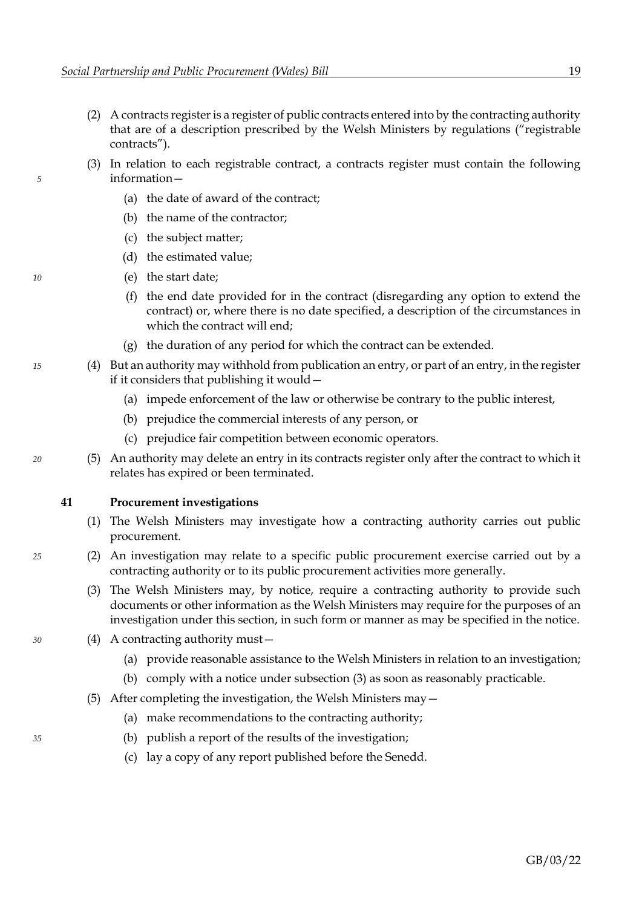- <span id="page-21-0"></span>(2) A contracts register is a register of public contracts entered into by the contracting authority that are of a description prescribed by the Welsh Ministers by regulations ("registrable contracts").
- (3) In relation to each registrable contract, a contracts register must contain the following *5* information—
	- (a) the date of award of the contract;
	- (b) the name of the contractor;
	- (c) the subject matter;
	- (d) the estimated value;
- *10* (e) the start date;
	- (f) the end date provided for in the contract (disregarding any option to extend the contract) or, where there is no date specified, a description of the circumstances in which the contract will end;
	- (g) the duration of any period for which the contract can be extended.
- *15* (4) But an authority may withhold from publication an entry, or part of an entry, in the register if it considers that publishing it would—
	- (a) impede enforcement of the law or otherwise be contrary to the public interest,
	- (b) prejudice the commercial interests of any person, or
	- (c) prejudice fair competition between economic operators.
- *20* (5) An authority may delete an entry in its contracts register only after the contract to which it relates has expired or been terminated.

#### **41 Procurement investigations**

- <span id="page-21-1"></span>(1) The Welsh Ministers may investigate how a contracting authority carries out public procurement.
- *25* (2) An investigation may relate to a specific public procurement exercise carried out by a contracting authority or to its public procurement activities more generally.
	- (3) The Welsh Ministers may, by notice, require a contracting authority to provide such documents or other information as the Welsh Ministers may require for the purposes of an investigation under this section, in such form or manner as may be specified in the notice.
- *30* (4) A contracting authority must—
	- (a) provide reasonable assistance to the Welsh Ministers in relation to an investigation;
	- (b) comply with a notice under subsection [\(3\)](#page-21-1) as soon as reasonably practicable.
	- (5) After completing the investigation, the Welsh Ministers may—
		- (a) make recommendations to the contracting authority;
- *35* (b) publish a report of the results of the investigation;
	- (c) lay a copy of any report published before the Senedd.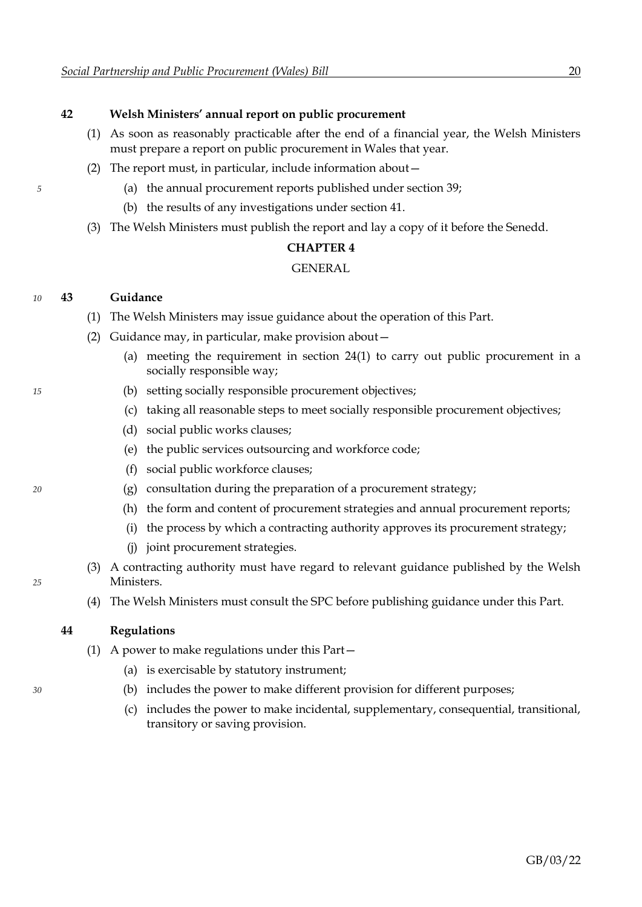#### **42 Welsh Ministers' annual report on public procurement**

- (1) As soon as reasonably practicable after the end of a financial year, the Welsh Ministers must prepare a report on public procurement in Wales that year.
- (2) The report must, in particular, include information about—
- *5* (a) the annual procurement reports published under section [39;](#page-20-1)
	- (b) the results of any investigations under section [41.](#page-21-0)
	- (3) The Welsh Ministers must publish the report and lay a copy of it before the Senedd.

#### **CHAPTER 4**

#### GENERAL

#### *10* **43 Guidance**

- (1) The Welsh Ministers may issue guidance about the operation of this Part.
- (2) Guidance may, in particular, make provision about—
	- (a) meeting the requirement in section [24](#page-10-2)[\(1\)](#page-10-0) to carry out public procurement in a socially responsible way;
- *15* (b) setting socially responsible procurement objectives;
	- (c) taking all reasonable steps to meet socially responsible procurement objectives;
	- (d) social public works clauses;
	- (e) the public services outsourcing and workforce code;
	- (f) social public workforce clauses;
- *20* (g) consultation during the preparation of a procurement strategy;
	- (h) the form and content of procurement strategies and annual procurement reports;
	- (i) the process by which a contracting authority approves its procurement strategy;
	- (j) joint procurement strategies.
- (3) A contracting authority must have regard to relevant guidance published by the Welsh *25* Ministers.
	- (4) The Welsh Ministers must consult the SPC before publishing guidance under this Part.

#### **44 Regulations**

- (1) A power to make regulations under this Part—
	- (a) is exercisable by statutory instrument;
- *30* (b) includes the power to make different provision for different purposes;
	- (c) includes the power to make incidental, supplementary, consequential, transitional, transitory or saving provision.

#### GB/03/22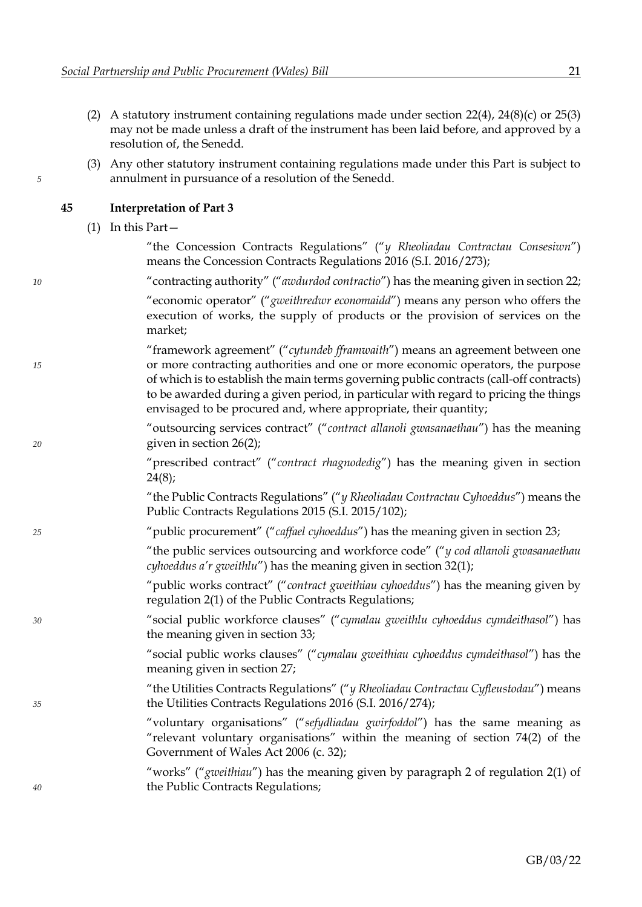- (2) A statutory instrument containing regulations made under section [22](#page-10-2)[\(4\),](#page-10-4) [24](#page-10-2)[\(8\)](#page-11-8)[\(c\)](#page-11-9) or [25](#page-11-0)[\(3\)](#page-12-7) may not be made unless a draft of the instrument has been laid before, and approved by a resolution of, the Senedd.
- (3) Any other statutory instrument containing regulations made under this Part is subject to *5* annulment in pursuance of a resolution of the Senedd.

#### **45 Interpretation of Part 3**

|  | (1) In this Part - |
|--|--------------------|
|--|--------------------|

|    | "the Concession Contracts Regulations" ("y Rheoliadau Contractau Consesiwn")         |
|----|--------------------------------------------------------------------------------------|
|    | means the Concession Contracts Regulations 2016 (S.I. 2016/273);                     |
| 10 | "contracting authority" ("awdurdod contractio") has the meaning given in section 22; |

"economic operator" ("*gweithredwr economaidd*") means any person who offers the execution of works, the supply of products or the provision of services on the market;

"framework agreement" ("*cytundeb fframwaith*") means an agreement between one *15* or more contracting authorities and one or more economic operators, the purpose of which is to establish the main terms governing public contracts (call-off contracts) to be awarded during a given period, in particular with regard to pricing the things envisaged to be procured and, where appropriate, their quantity;

"outsourcing services contract" ("*contract allanoli gwasanaethau*") has the meaning *20* given in section [26](#page-12-0)[\(2\);](#page-12-8)

> "prescribed contract" ("*contract rhagnodedig*") has the meaning given in section [24](#page-10-2)[\(8\);](#page-11-8)

> "the Public Contracts Regulations" ("*y Rheoliadau Contractau Cyhoeddus*") means the Public Contracts Regulations 2015 (S.I. 2015/102);

*25* "public procurement" ("*caffael cyhoeddus*") has the meaning given in section [23;](#page-10-2)

"the public services outsourcing and workforce code" ("*y cod allanoli gwasanaethau cyhoeddus a'r gweithlu*") has the meaning given in section [32](#page-16-0)[\(1\);](#page-16-4)

"public works contract" ("*contract gweithiau cyhoeddus*") has the meaning given by regulation 2(1) of the Public Contracts Regulations;

*30* "social public workforce clauses" ("*cymalau gweithlu cyhoeddus cymdeithasol*") has the meaning given in section [33;](#page-16-0)

> "social public works clauses" ("*cymalau gweithiau cyhoeddus cymdeithasol*") has the meaning given in section [27;](#page-12-0)

"the Utilities Contracts Regulations" ("*y Rheoliadau Contractau Cyfleustodau*") means *35* the Utilities Contracts Regulations 2016 (S.I. 2016/274);

> "voluntary organisations" ("*sefydliadau gwirfoddol*") has the same meaning as "relevant voluntary organisations" within the meaning of section 74(2) of the Government of Wales Act 2006 (c. 32);

"works" ("*gweithiau*") has the meaning given by paragraph 2 of regulation 2(1) of *40* the Public Contracts Regulations;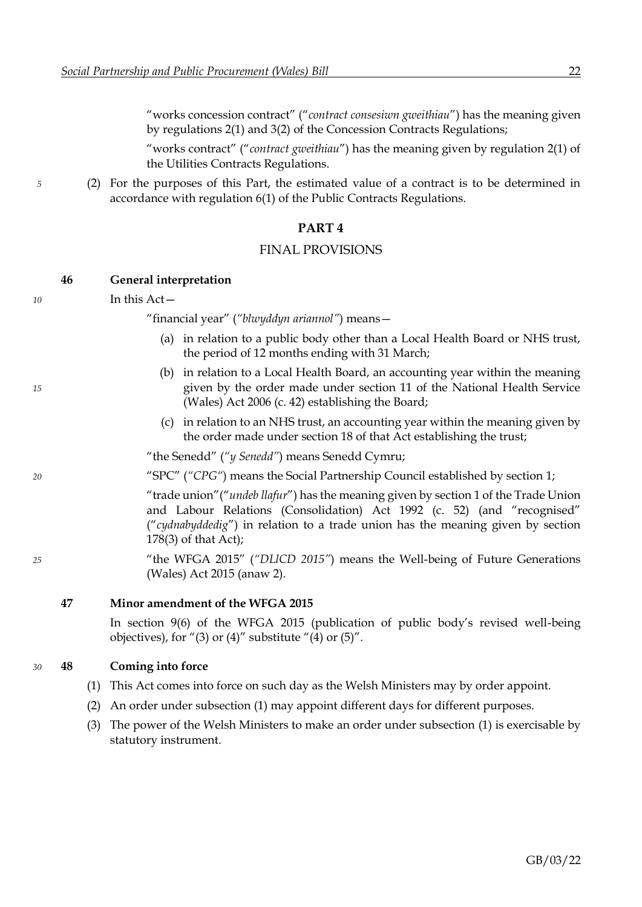"works concession contract" ("*contract consesiwn gweithiau*") has the meaning given by regulations 2(1) and 3(2) of the Concession Contracts Regulations;

"works contract" ("*contract gweithiau*") has the meaning given by regulation 2(1) of the Utilities Contracts Regulations.

*5* (2) For the purposes of this Part, the estimated value of a contract is to be determined in accordance with regulation 6(1) of the Public Contracts Regulations.

#### **PART 4**

#### FINAL PROVISIONS

## **46 General interpretation**

#### *10* In this Act—

"financial year" (*"blwyddyn ariannol"*) means—

- (a) in relation to a public body other than a Local Health Board or NHS trust, the period of 12 months ending with 31 March;
- (b) in relation to a Local Health Board, an accounting year within the meaning *15* given by the order made under section 11 of the National Health Service (Wales) Act 2006 (c. 42) establishing the Board;
	- (c) in relation to an NHS trust, an accounting year within the meaning given by the order made under section 18 of that Act establishing the trust;

"the Senedd" (*"y Senedd"*) means Senedd Cymru;

*20* "SPC" (*"CPG"*) means the Social Partnership Council established by section [1;](#page-3-2)

"trade union"("*undeb llafur*") has the meaning given by section 1 of the Trade Union and Labour Relations (Consolidation) Act 1992 (c. 52) (and "recognised" ("*cydnabyddedig*") in relation to a trade union has the meaning given by section 178(3) of that Act);

*25* "the WFGA 2015" (*"DLlCD 2015"*) means the Well-being of Future Generations (Wales) Act 2015 (anaw 2).

**47 Minor amendment of the WFGA 2015**

In section 9(6) of the WFGA 2015 (publication of public body's revised well-being objectives), for "(3) or (4)" substitute "(4) or  $(5)$ ".

#### *30* **48 Coming into force**

- <span id="page-24-0"></span>(1) This Act comes into force on such day as the Welsh Ministers may by order appoint.
- (2) An order under subsection [\(1\)](#page-24-0) may appoint different days for different purposes.
- (3) The power of the Welsh Ministers to make an order under subsection [\(1\)](#page-24-0) is exercisable by statutory instrument.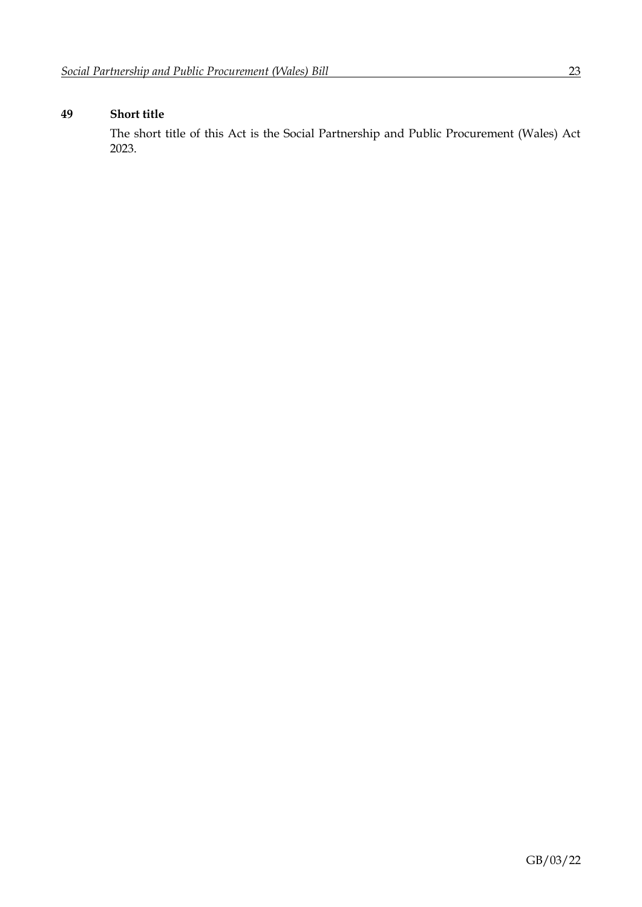## **49 Short title**

The short title of this Act is the Social Partnership and Public Procurement (Wales) Act 2023.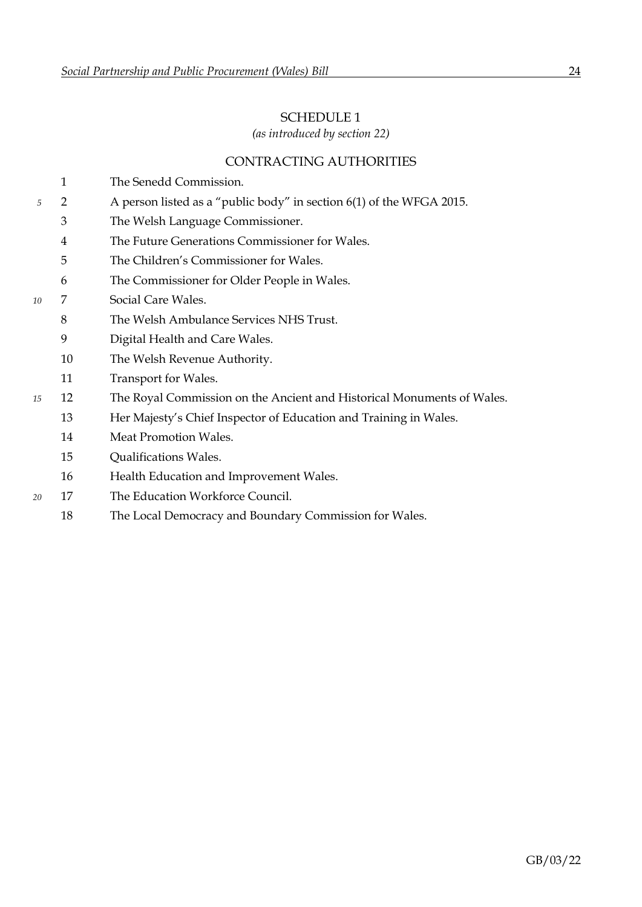## <span id="page-26-0"></span>SCHEDULE 1

*(as introduced by section [22\)](#page-10-2)*

## CONTRACTING AUTHORITIES

|    | 1  | The Senedd Commission.                                                 |
|----|----|------------------------------------------------------------------------|
| 5  | 2  | A person listed as a "public body" in section 6(1) of the WFGA 2015.   |
|    | 3  | The Welsh Language Commissioner.                                       |
|    | 4  | The Future Generations Commissioner for Wales.                         |
|    | 5  | The Children's Commissioner for Wales.                                 |
|    | 6  | The Commissioner for Older People in Wales.                            |
| 10 | 7  | Social Care Wales.                                                     |
|    | 8  | The Welsh Ambulance Services NHS Trust.                                |
|    | 9  | Digital Health and Care Wales.                                         |
|    | 10 | The Welsh Revenue Authority.                                           |
|    | 11 | Transport for Wales.                                                   |
| 15 | 12 | The Royal Commission on the Ancient and Historical Monuments of Wales. |
|    | 13 | Her Majesty's Chief Inspector of Education and Training in Wales.      |
|    | 14 | Meat Promotion Wales.                                                  |
|    | 15 | Qualifications Wales.                                                  |
|    | 16 | Health Education and Improvement Wales.                                |
| 20 | 17 | The Education Workforce Council.                                       |
|    | 18 | The Local Democracy and Boundary Commission for Wales.                 |